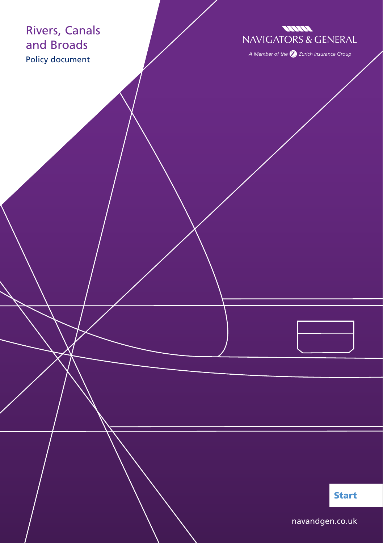## Rivers, Canals and Broads Policy document

## **MANA NAVIGATORS & GENERAL**

A Member of the  $\bigotimes$  Zurich Insurance Group

Start

[navandgen.co.uk](http://www.navandgen.co.uk)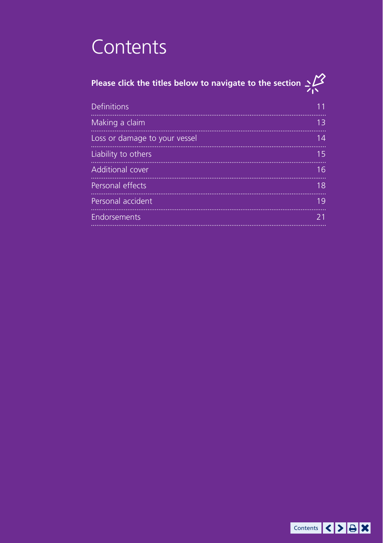## **Contents**

# **Please click the titles below to navigate to the section**

| <b>Definitions</b>            |    |
|-------------------------------|----|
| Making a claim                | 13 |
| Loss or damage to your vessel | 14 |
| Liability to others           | 15 |
| Additional cover              | 16 |
| Personal effects              | 18 |
| Personal accident             | 19 |
| Endorsements                  |    |

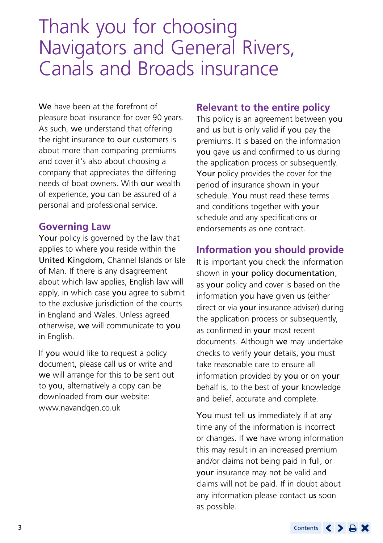## Thank you for choosing Navigators and General Rivers, Canals and Broads insurance

We have been at the forefront of pleasure boat insurance for over 90 years. As such, we understand that offering the right insurance to our customers is about more than comparing premiums and cover it's also about choosing a company that appreciates the differing needs of boat owners. With our wealth of experience, you can be assured of a personal and professional service.

## **Governing Law**

Your policy is governed by the law that applies to where you reside within the United Kingdom, Channel Islands or Isle of Man. If there is any disagreement about which law applies, English law will apply, in which case you agree to submit to the exclusive jurisdiction of the courts in England and Wales. Unless agreed otherwise, we will communicate to you in English.

If you would like to request a policy document, please call us or write and we will arrange for this to be sent out to you, alternatively a copy can be downloaded from our website: [www.navandgen.co.uk](http://www.navandgen.co.uk)

## **Relevant to the entire policy**

This policy is an agreement between you and us but is only valid if you pay the premiums. It is based on the information you gave us and confirmed to us during the application process or subsequently. Your policy provides the cover for the period of insurance shown in your schedule. You must read these terms and conditions together with your schedule and any specifications or endorsements as one contract.

## **Information you should provide**

It is important you check the information shown in your policy documentation, as **your** policy and cover is based on the information you have given us (either direct or via your insurance adviser) during the application process or subsequently, as confirmed in your most recent documents. Although we may undertake checks to verify your details, you must take reasonable care to ensure all information provided by you or on your behalf is, to the best of **your** knowledge and belief, accurate and complete.

You must tell us immediately if at any time any of the information is incorrect or changes. If we have wrong information this may result in an increased premium and/or claims not being paid in full, or your insurance may not be valid and claims will not be paid. If in doubt about any information please contact us soon as possible.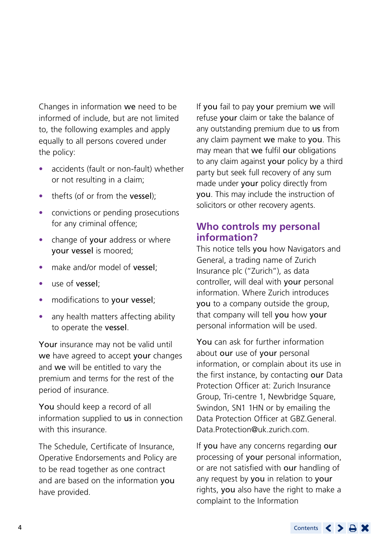Changes in information we need to be informed of include, but are not limited to, the following examples and apply equally to all persons covered under the policy:

- accidents (fault or non-fault) whether or not resulting in a claim;
- thefts (of or from the **vessel**):
- convictions or pending prosecutions for any criminal offence;
- change of your address or where your vessel is moored;
- make and/or model of **vessel**:
- use of **vessel**:
- modifications to your vessel;
- any health matters affecting ability to operate the vessel.

Your insurance may not be valid until we have agreed to accept your changes and we will be entitled to vary the premium and terms for the rest of the period of insurance.

You should keep a record of all information supplied to us in connection with this insurance.

The Schedule, Certificate of Insurance, Operative Endorsements and Policy are to be read together as one contract and are based on the information you have provided.

If you fail to pay your premium we will refuse your claim or take the balance of any outstanding premium due to us from any claim payment we make to you. This may mean that we fulfil our obligations to any claim against your policy by a third party but seek full recovery of any sum made under your policy directly from you. This may include the instruction of solicitors or other recovery agents.

## **Who controls my personal information?**

This notice tells you how Navigators and General, a trading name of Zurich Insurance plc ("Zurich"), as data controller, will deal with your personal information. Where Zurich introduces you to a company outside the group, that company will tell you how your personal information will be used.

You can ask for further information about our use of your personal information, or complain about its use in the first instance, by contacting our Data Protection Officer at: Zurich Insurance Group, Tri-centre 1, Newbridge Square Swindon, SN1 1HN or by emailing the Data Protection Officer at [GBZ.General.](mailto:GBZ.General.Data.Protection@uk.zurich.com) [Data.Protection@uk.zurich.com.](mailto:GBZ.General.Data.Protection@uk.zurich.com)

If you have any concerns regarding our processing of your personal information. or are not satisfied with our handling of any request by you in relation to your rights, you also have the right to make a complaint to the Information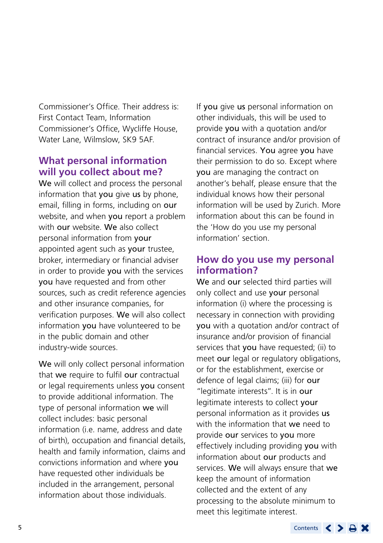Commissioner's Office. Their address is: First Contact Team, Information Commissioner's Office, Wycliffe House, Water Lane, Wilmslow, SK9 5AF.

## **What personal information will you collect about me?**

We will collect and process the personal information that you give us by phone, email, filling in forms, including on our website, and when you report a problem with our website. We also collect personal information from your appointed agent such as your trustee, broker, intermediary or financial adviser in order to provide you with the services you have requested and from other sources, such as credit reference agencies and other insurance companies, for verification purposes. We will also collect information you have volunteered to be in the public domain and other industry-wide sources.

We will only collect personal information that we require to fulfil our contractual or legal requirements unless you consent to provide additional information. The type of personal information we will collect includes: basic personal information (i.e. name, address and date of birth), occupation and financial details, health and family information, claims and convictions information and where you have requested other individuals be included in the arrangement, personal information about those individuals.

If you give us personal information on other individuals, this will be used to provide you with a quotation and/or contract of insurance and/or provision of financial services. You agree you have their permission to do so. Except where you are managing the contract on another's behalf, please ensure that the individual knows how their personal information will be used by Zurich. More information about this can be found in the 'How do you use my personal information' section.

## **How do you use my personal information?**

We and our selected third parties will only collect and use **your** personal information (i) where the processing is necessary in connection with providing you with a quotation and/or contract of insurance and/or provision of financial services that you have requested; (ii) to meet our legal or regulatory obligations, or for the establishment, exercise or defence of legal claims; (iii) for our "legitimate interests". It is in our legitimate interests to collect your personal information as it provides us with the information that we need to provide our services to you more effectively including providing you with information about our products and services. We will always ensure that we keep the amount of information collected and the extent of any processing to the absolute minimum to meet this legitimate interest.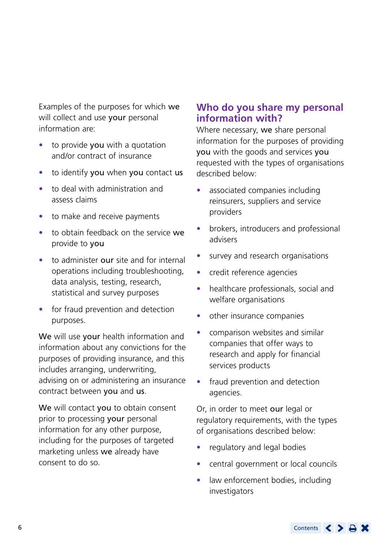Examples of the purposes for which we will collect and use your personal information are:

- to provide you with a quotation and/or contract of insurance
- to identify you when you contact us
- to deal with administration and assess claims
- to make and receive payments
- to obtain feedback on the service we provide to you
- to administer our site and for internal operations including troubleshooting, data analysis, testing, research, statistical and survey purposes
- for fraud prevention and detection purposes.

We will use your health information and information about any convictions for the purposes of providing insurance, and this includes arranging, underwriting, advising on or administering an insurance contract between you and us.

We will contact you to obtain consent prior to processing your personal information for any other purpose, including for the purposes of targeted marketing unless we already have consent to do so.

## **Who do you share my personal information with?**

Where necessary, we share personal information for the purposes of providing you with the goods and services you requested with the types of organisations described below:

- associated companies including reinsurers, suppliers and service providers
- brokers, introducers and professional advisers
- survey and research organisations
- credit reference agencies
- healthcare professionals, social and welfare organisations
- other insurance companies
- comparison websites and similar companies that offer ways to research and apply for financial services products
- fraud prevention and detection agencies.

Or, in order to meet our legal or regulatory requirements, with the types of organisations described below:

- regulatory and legal bodies
- central government or local councils
- law enforcement bodies, including investigators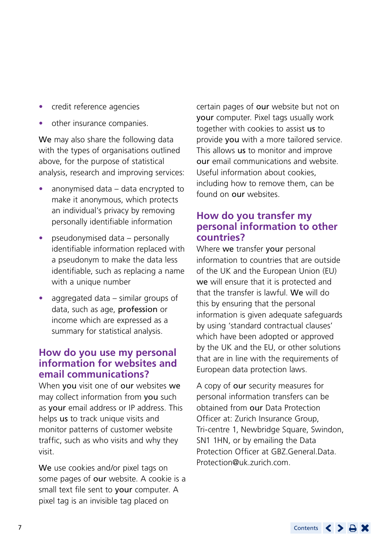- credit reference agencies
- other insurance companies.

We may also share the following data with the types of organisations outlined above, for the purpose of statistical analysis, research and improving services:

- anonymised data data encrypted to make it anonymous, which protects an individual's privacy by removing personally identifiable information
- pseudonymised data personally identifiable information replaced with a pseudonym to make the data less identifiable, such as replacing a name with a unique number
- aggregated data similar groups of data, such as age, profession or income which are expressed as a summary for statistical analysis.

## **How do you use my personal information for websites and email communications?**

When you visit one of our websites we may collect information from you such as your email address or IP address. This helps us to track unique visits and monitor patterns of customer website traffic, such as who visits and why they visit.

We use cookies and/or pixel tags on some pages of our website. A cookie is a small text file sent to your computer. A pixel tag is an invisible tag placed on

certain pages of our website but not on your computer. Pixel tags usually work together with cookies to assist us to provide you with a more tailored service. This allows us to monitor and improve our email communications and website. Useful information about cookies, including how to remove them, can be found on our websites.

## **How do you transfer my personal information to other countries?**

Where we transfer your personal information to countries that are outside of the UK and the European Union (EU) we will ensure that it is protected and that the transfer is lawful. We will do this by ensuring that the personal information is given adequate safeguards by using 'standard contractual clauses' which have been adopted or approved by the UK and the EU, or other solutions that are in line with the requirements of European data protection laws.

A copy of our security measures for personal information transfers can be obtained from our Data Protection Officer at: Zurich Insurance Group, Tri-centre 1, Newbridge Square, Swindon, SN1 1HN, or by emailing the Data Protection Officer at [GBZ.General.Data.](mailto:GBZ.General.Data.Protection@uk.zurich.com) [Protection@uk.zurich.com](mailto:GBZ.General.Data.Protection@uk.zurich.com).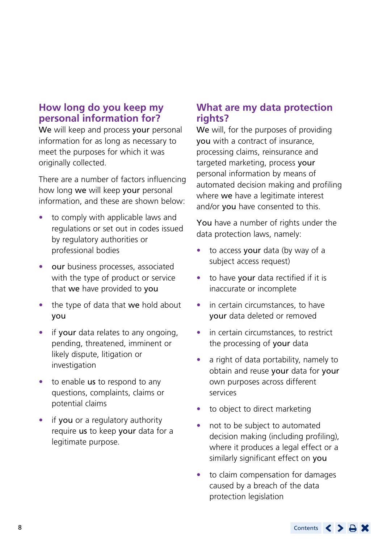## **How long do you keep my personal information for?**

We will keep and process your personal information for as long as necessary to meet the purposes for which it was originally collected.

There are a number of factors influencing how long we will keep your personal information, and these are shown below:

- to comply with applicable laws and regulations or set out in codes issued by regulatory authorities or professional bodies
- our business processes, associated with the type of product or service that we have provided to you
- the type of data that we hold about you
- if your data relates to any ongoing. pending, threatened, imminent or likely dispute, litigation or investigation
- to enable **us** to respond to any questions, complaints, claims or potential claims
- if you or a regulatory authority require us to keep your data for a legitimate purpose.

## **What are my data protection rights?**

We will, for the purposes of providing you with a contract of insurance, processing claims, reinsurance and targeted marketing, process your personal information by means of automated decision making and profiling where we have a legitimate interest and/or you have consented to this.

You have a number of rights under the data protection laws, namely:

- to access your data (by way of a subject access request)
- to have your data rectified if it is inaccurate or incomplete
- in certain circumstances, to have your data deleted or removed
- in certain circumstances, to restrict the processing of your data
- a right of data portability, namely to obtain and reuse your data for your own purposes across different services
- to object to direct marketing
- not to be subject to automated decision making (including profiling), where it produces a legal effect or a similarly significant effect on you
- to claim compensation for damages caused by a breach of the data protection legislation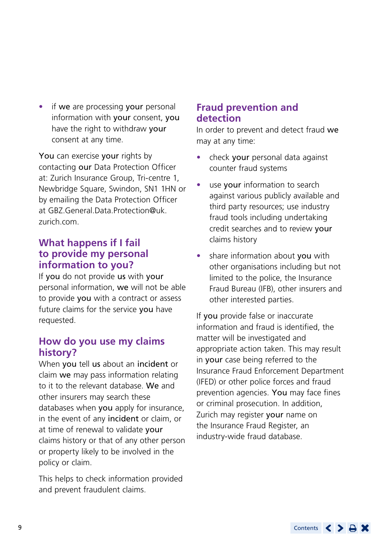• if we are processing your personal information with your consent, you have the right to withdraw your consent at any time.

You can exercise your rights by contacting our Data Protection Officer at: Zurich Insurance Group, Tri-centre 1, Newbridge Square, Swindon, SN1 1HN or by emailing the Data Protection Officer at [GBZ.General.Data.Protection@uk.](mailto:GBZ.General.Data.Protection@uk.zurich.com) [zurich.com](mailto:GBZ.General.Data.Protection@uk.zurich.com).

## **What happens if I fail to provide my personal information to you?**

If you do not provide us with your personal information, we will not be able to provide you with a contract or assess future claims for the service you have requested.

## **How do you use my claims history?**

When you tell us about an incident or claim we may pass information relating to it to the relevant database. We and other insurers may search these databases when you apply for insurance, in the event of any incident or claim, or at time of renewal to validate your claims history or that of any other person or property likely to be involved in the policy or claim.

This helps to check information provided and prevent fraudulent claims.

## **Fraud prevention and detection**

In order to prevent and detect fraud we may at any time:

- check your personal data against counter fraud systems
- use **vour** information to search against various publicly available and third party resources; use industry fraud tools including undertaking credit searches and to review your claims history
- share information about you with other organisations including but not limited to the police, the Insurance Fraud Bureau (IFB), other insurers and other interested parties.

If you provide false or inaccurate information and fraud is identified, the matter will be investigated and appropriate action taken. This may result in your case being referred to the Insurance Fraud Enforcement Department (IFED) or other police forces and fraud prevention agencies. You may face fines or criminal prosecution. In addition, Zurich may register your name on the Insurance Fraud Register, an industry-wide fraud database.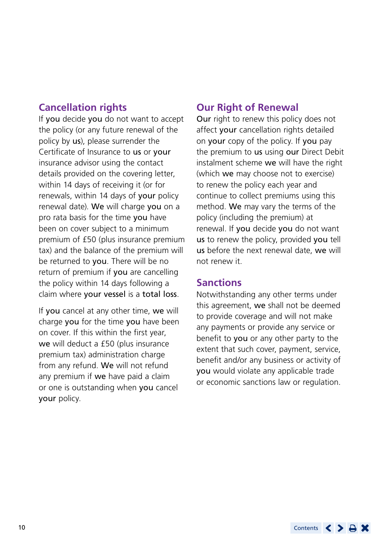## **Cancellation rights**

If you decide you do not want to accept the policy (or any future renewal of the policy by us), please surrender the Certificate of Insurance to us or your insurance advisor using the contact details provided on the covering letter, within 14 days of receiving it (or for renewals, within 14 days of your policy renewal date). We will charge you on a pro rata basis for the time you have been on cover subject to a minimum premium of £50 (plus insurance premium tax) and the balance of the premium will be returned to **you**. There will be no return of premium if you are cancelling the policy within 14 days following a claim where your vessel is a total loss.

If you cancel at any other time, we will charge you for the time you have been on cover. If this within the first year, we will deduct a £50 (plus insurance premium tax) administration charge from any refund. We will not refund any premium if we have paid a claim or one is outstanding when you cancel your policy.

## **Our Right of Renewal**

Our right to renew this policy does not affect vour cancellation rights detailed on your copy of the policy. If you pay the premium to us using our Direct Debit instalment scheme we will have the right (which we may choose not to exercise) to renew the policy each year and continue to collect premiums using this method. We may vary the terms of the policy (including the premium) at renewal. If you decide you do not want us to renew the policy, provided you tell us before the next renewal date, we will not renew it.

## **Sanctions**

Notwithstanding any other terms under this agreement, we shall not be deemed to provide coverage and will not make any payments or provide any service or benefit to you or any other party to the extent that such cover, payment, service, benefit and/or any business or activity of you would violate any applicable trade or economic sanctions law or regulation.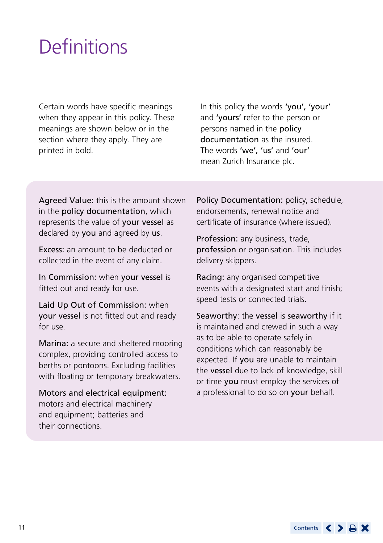## <span id="page-10-0"></span>**Definitions**

Certain words have specific meanings when they appear in this policy. These meanings are shown below or in the section where they apply. They are printed in bold.

In this policy the words 'you', 'your' and 'yours' refer to the person or persons named in the policy documentation as the insured. The words 'we', 'us' and 'our' mean Zurich Insurance plc.

Agreed Value: this is the amount shown in the policy documentation, which represents the value of your vessel as declared by you and agreed by us.

Excess: an amount to be deducted or collected in the event of any claim.

In Commission: when your vessel is fitted out and ready for use.

Laid Up Out of Commission: when your vessel is not fitted out and ready for use.

Marina: a secure and sheltered mooring complex, providing controlled access to berths or pontoons. Excluding facilities with floating or temporary breakwaters.

Motors and electrical equipment: motors and electrical machinery and equipment; batteries and their connections.

Policy Documentation: policy, schedule, endorsements, renewal notice and certificate of insurance (where issued).

Profession: any business, trade, profession or organisation. This includes delivery skippers.

Racing: any organised competitive events with a designated start and finish; speed tests or connected trials.

Seaworthy: the vessel is seaworthy if it is maintained and crewed in such a way as to be able to operate safely in conditions which can reasonably be expected. If you are unable to maintain the vessel due to lack of knowledge, skill or time you must employ the services of a professional to do so on your behalf.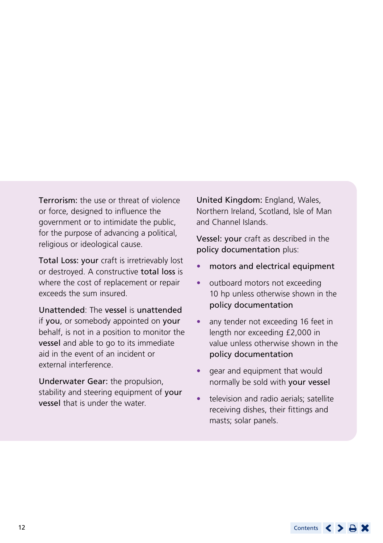Terrorism: the use or threat of violence or force, designed to influence the government or to intimidate the public, for the purpose of advancing a political, religious or ideological cause.

Total Loss: your craft is irretrievably lost or destroyed. A constructive total loss is where the cost of replacement or repair exceeds the sum insured.

Unattended: The vessel is unattended if you, or somebody appointed on your behalf, is not in a position to monitor the vessel and able to go to its immediate aid in the event of an incident or external interference.

Underwater Gear: the propulsion, stability and steering equipment of your vessel that is under the water.

United Kingdom: England, Wales, Northern Ireland, Scotland, Isle of Man and Channel Islands.

Vessel: your craft as described in the policy documentation plus:

- motors and electrical equipment
- outboard motors not exceeding 10 hp unless otherwise shown in the policy documentation
- any tender not exceeding 16 feet in length nor exceeding £2,000 in value unless otherwise shown in the policy documentation
- gear and equipment that would normally be sold with your vessel
- television and radio aerials; satellite receiving dishes, their fittings and masts; solar panels.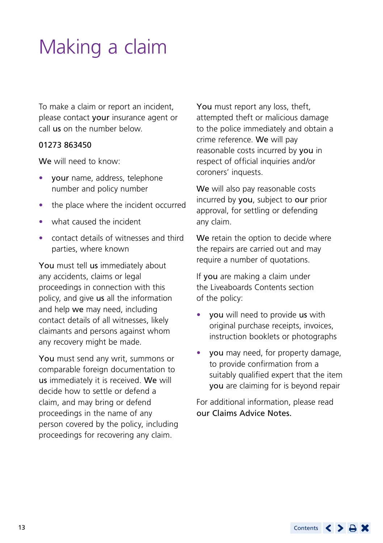# <span id="page-12-0"></span>Making a claim

To make a claim or report an incident, please contact your insurance agent or call us on the number below.

## 01273 863450

We will need to know:

- your name, address, telephone number and policy number
- the place where the incident occurred
- what caused the incident
- contact details of witnesses and third parties, where known

You must tell us immediately about any accidents, claims or legal proceedings in connection with this policy, and give us all the information and help we may need, including contact details of all witnesses, likely claimants and persons against whom any recovery might be made.

You must send any writ, summons or comparable foreign documentation to us immediately it is received. We will decide how to settle or defend a claim, and may bring or defend proceedings in the name of any person covered by the policy, including proceedings for recovering any claim.

You must report any loss, theft, attempted theft or malicious damage to the police immediately and obtain a crime reference. We will pay reasonable costs incurred by you in respect of official inquiries and/or coroners' inquests.

We will also pay reasonable costs incurred by you, subject to our prior approval, for settling or defending any claim.

We retain the option to decide where the repairs are carried out and may require a number of quotations.

If you are making a claim under the Liveaboards Contents section of the policy:

- you will need to provide us with original purchase receipts, invoices, instruction booklets or photographs
- you may need, for property damage, to provide confirmation from a suitably qualified expert that the item you are claiming for is beyond repair

For additional information, please read our Claims Advice Notes.

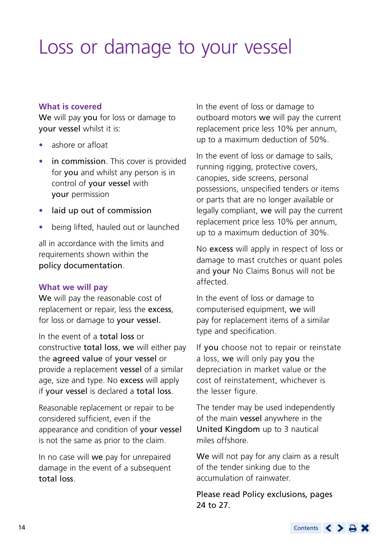## <span id="page-13-0"></span>Loss or damage to your vessel

## **What is covered**

We will pay you for loss or damage to your vessel whilst it is:

- ashore or afloat
- **in commission** This cover is provided for you and whilst any person is in control of your vessel with your permission
- **•** laid up out of commission
- being lifted, hauled out or launched

all in accordance with the limits and requirements shown within the policy documentation.

## **What we will pay**

We will pay the reasonable cost of replacement or repair, less the excess, for loss or damage to your vessel.

In the event of a total loss or constructive total loss, we will either pay the agreed value of your vessel or provide a replacement vessel of a similar age, size and type. No excess will apply if your vessel is declared a total loss.

Reasonable replacement or repair to be considered sufficient, even if the appearance and condition of your vessel is not the same as prior to the claim.

In no case will we pay for unrepaired damage in the event of a subsequent total loss.

In the event of loss or damage to outboard motors we will pay the current replacement price less 10% per annum, up to a maximum deduction of 50%.

In the event of loss or damage to sails, running rigging, protective covers, canopies, side screens, personal possessions, unspecified tenders or items or parts that are no longer available or legally compliant, we will pay the current replacement price less 10% per annum, up to a maximum deduction of 30%.

No excess will apply in respect of loss or damage to mast crutches or quant poles and your No Claims Bonus will not be affected.

In the event of loss or damage to computerised equipment, we will pay for replacement items of a similar type and specification.

If you choose not to repair or reinstate a loss, we will only pay you the depreciation in market value or the cost of reinstatement, whichever is the lesser figure.

The tender may be used independently of the main vessel anywhere in the United Kingdom up to 3 nautical miles offshore.

We will not pay for any claim as a result of the tender sinking due to the accumulation of rainwater.

Please read Policy exclusions, pages 24 to 27.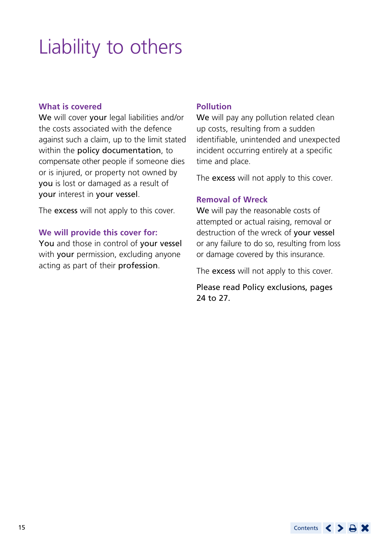# <span id="page-14-0"></span>Liability to others

#### **What is covered**

We will cover your legal liabilities and/or the costs associated with the defence against such a claim, up to the limit stated within the policy documentation, to compensate other people if someone dies or is injured, or property not owned by you is lost or damaged as a result of your interest in your vessel.

The **excess** will not apply to this cover.

## **We will provide this cover for:**

You and those in control of your vessel with your permission, excluding anyone acting as part of their profession.

## **Pollution**

We will pay any pollution related clean up costs, resulting from a sudden identifiable, unintended and unexpected incident occurring entirely at a specific time and place.

The excess will not apply to this cover.

## **Removal of Wreck**

We will pay the reasonable costs of attempted or actual raising, removal or destruction of the wreck of your vessel or any failure to do so, resulting from loss or damage covered by this insurance.

The excess will not apply to this cover.

Please read Policy exclusions, pages 24 to 27.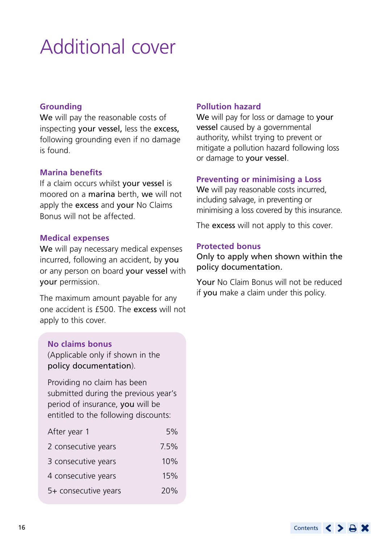# <span id="page-15-0"></span>Additional cover

## **Grounding**

We will pay the reasonable costs of inspecting your vessel, less the excess, following grounding even if no damage is found.

#### **Marina benefits**

If a claim occurs whilst your vessel is moored on a marina berth, we will not apply the excess and your No Claims Bonus will not be affected.

#### **Medical expenses**

We will pay necessary medical expenses incurred, following an accident, by you or any person on board your vessel with your permission.

The maximum amount payable for any one accident is £500. The excess will not apply to this cover.

## **No claims bonus**

(Applicable only if shown in the policy documentation).

Providing no claim has been submitted during the previous year's period of insurance, you will be entitled to the following discounts:

| 5%   |
|------|
| 7.5% |
| 10%  |
| 15%  |
| 20%  |
|      |

#### **Pollution hazard**

We will pay for loss or damage to your vessel caused by a governmental authority, whilst trying to prevent or mitigate a pollution hazard following loss or damage to your vessel.

#### **Preventing or minimising a Loss**

We will pay reasonable costs incurred. including salvage, in preventing or minimising a loss covered by this insurance.

The excess will not apply to this cover.

#### **Protected bonus**

Only to apply when shown within the policy documentation.

Your No Claim Bonus will not be reduced if you make a claim under this policy.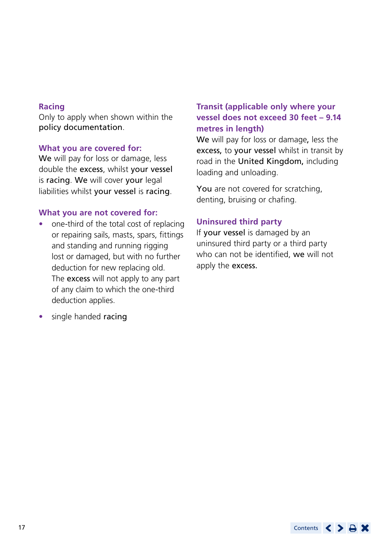## **Racing**

Only to apply when shown within the policy documentation.

#### **What you are covered for:**

We will pay for loss or damage, less double the excess, whilst your vessel is racing. We will cover your legal liabilities whilst your vessel is racing.

## **What you are not covered for:**

- one-third of the total cost of replacing or repairing sails, masts, spars, fittings and standing and running rigging lost or damaged, but with no further deduction for new replacing old. The excess will not apply to any part of any claim to which the one-third deduction applies.
- single handed racing

## **Transit (applicable only where your vessel does not exceed 30 feet – 9.14 metres in length)**

We will pay for loss or damage, less the excess, to your vessel whilst in transit by road in the United Kingdom, including loading and unloading.

You are not covered for scratching, denting, bruising or chafing.

## **Uninsured third party**

If your vessel is damaged by an uninsured third party or a third party who can not be identified, we will not apply the excess.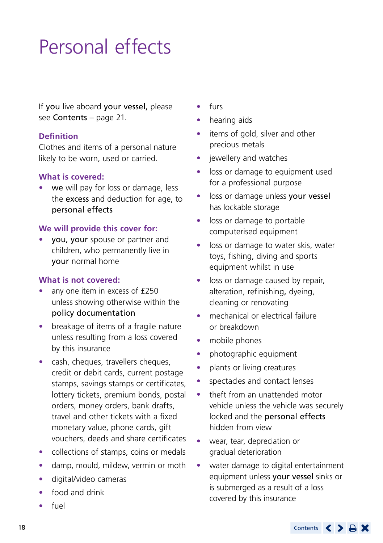# <span id="page-17-0"></span>Personal effects

If you live aboard your vessel, please see Contents – page 21.

## **Definition**

Clothes and items of a personal nature likely to be worn, used or carried.

## **What is covered:**

we will pay for loss or damage, less the excess and deduction for age, to personal effects

## **We will provide this cover for:**

• you, your spouse or partner and children, who permanently live in your normal home

## **What is not covered:**

- any one item in excess of £250 unless showing otherwise within the policy documentation
- breakage of items of a fragile nature unless resulting from a loss covered by this insurance
- cash, cheques, travellers cheques, credit or debit cards, current postage stamps, savings stamps or certificates, lottery tickets, premium bonds, postal orders, money orders, bank drafts, travel and other tickets with a fixed monetary value, phone cards, gift vouchers, deeds and share certificates
- collections of stamps, coins or medals
- damp, mould, mildew, vermin or moth
- digital/video cameras
- food and drink
- fuel
- furs
- hearing aids
- items of gold, silver and other precious metals
- jewellery and watches
- loss or damage to equipment used for a professional purpose
- **•** loss or damage unless your vessel has lockable storage
- **•** loss or damage to portable computerised equipment
- **•** loss or damage to water skis, water toys, fishing, diving and sports equipment whilst in use
- loss or damage caused by repair. alteration, refinishing, dyeing, cleaning or renovating
- mechanical or electrical failure or breakdown
- mobile phones
- photographic equipment
- plants or living creatures
- spectacles and contact lenses
- theft from an unattended motor vehicle unless the vehicle was securely locked and the personal effects hidden from view
- wear, tear, depreciation or gradual deterioration
- water damage to digital entertainment equipment unless your vessel sinks or is submerged as a result of a loss covered by this insurance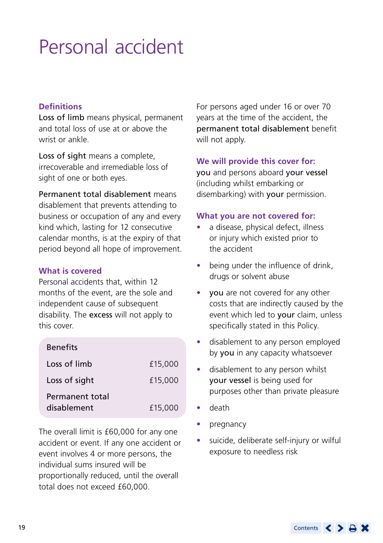# <span id="page-18-0"></span>Personal accident

## **Definitions**

Loss of limb means physical, permanent and total loss of use at or above the wrist or ankle.

Loss of sight means a complete, irrecoverable and irremediable loss of sight of one or both eyes.

Permanent total disablement means disablement that prevents attending to business or occupation of any and every kind which, lasting for 12 consecutive calendar months, is at the expiry of that period beyond all hope of improvement.

#### **What is covered**

Personal accidents that, within 12 months of the event, are the sole and independent cause of subsequent disability. The excess will not apply to this cover.

| <b>Benefits</b> |         |
|-----------------|---------|
| Loss of limb    | £15,000 |
| Loss of sight   | £15,000 |
| Permanent total |         |
| disablement     | £15,000 |

The overall limit is £60,000 for any one accident or event. If any one accident or event involves 4 or more persons, the individual sums insured will be proportionally reduced, until the overall total does not exceed £60,000.

For persons aged under 16 or over 70 years at the time of the accident, the permanent total disablement benefit will not apply.

## **We will provide this cover for:**

you and persons aboard your vessel (including whilst embarking or disembarking) with your permission.

#### **What you are not covered for:**

- a disease, physical defect, illness or injury which existed prior to the accident
- being under the influence of drink, drugs or solvent abuse
- **vou** are not covered for any other costs that are indirectly caused by the event which led to your claim, unless specifically stated in this Policy.
- disablement to any person employed by you in any capacity whatsoever
- disablement to any person whilst your vessel is being used for purposes other than private pleasure
- death
- pregnancy
- suicide, deliberate self-injury or wilful exposure to needless risk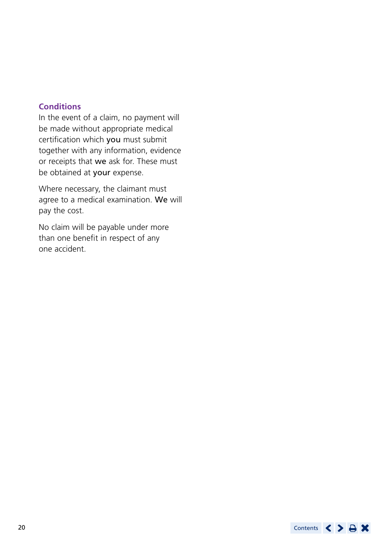## **Conditions**

In the event of a claim, no payment will be made without appropriate medical certification which you must submit together with any information, evidence or receipts that we ask for. These must be obtained at your expense.

Where necessary, the claimant must agree to a medical examination. We will pay the cost.

No claim will be payable under more than one benefit in respect of any one accident.

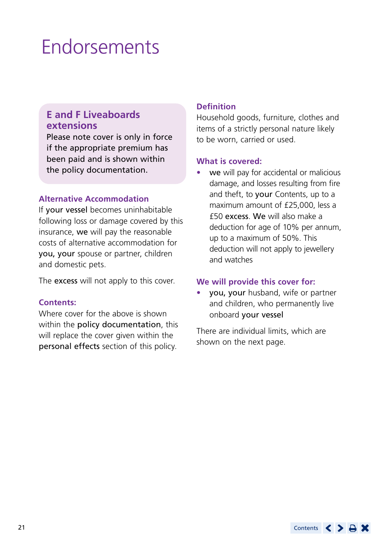## <span id="page-20-0"></span>Endorsements

## **E and F Liveaboards extensions**

Please note cover is only in force if the appropriate premium has been paid and is shown within the policy documentation.

#### **Alternative Accommodation**

If your vessel becomes uninhabitable following loss or damage covered by this insurance, we will pay the reasonable costs of alternative accommodation for you, your spouse or partner, children and domestic pets.

The **excess** will not apply to this cover.

#### **Contents:**

Where cover for the above is shown within the policy documentation, this will replace the cover given within the personal effects section of this policy.

## **Definition**

Household goods, furniture, clothes and items of a strictly personal nature likely to be worn, carried or used.

#### **What is covered:**

we will pay for accidental or malicious damage, and losses resulting from fire and theft, to your Contents, up to a maximum amount of £25,000, less a £50 excess. We will also make a deduction for age of 10% per annum, up to a maximum of 50%. This deduction will not apply to jewellery and watches

#### **We will provide this cover for:**

• you, your husband, wife or partner and children, who permanently live onboard your vessel

There are individual limits, which are shown on the next page.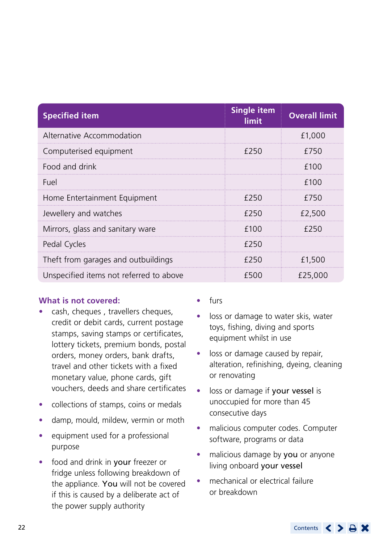| <b>Specified item</b>                   | <b>Single item</b><br>limit | <b>Overall limit</b> |
|-----------------------------------------|-----------------------------|----------------------|
| Alternative Accommodation               |                             | £1,000               |
| Computerised equipment                  | £250                        | £750                 |
| Food and drink                          |                             | £100                 |
| Fuel                                    |                             | £100                 |
| Home Entertainment Equipment            | £250                        | £750                 |
| Jewellery and watches                   | £250                        | £2.500               |
| Mirrors, glass and sanitary ware        | f100                        | £250                 |
| Pedal Cycles                            | £250                        |                      |
| Theft from garages and outbuildings     | £250                        | £1,500               |
| Unspecified items not referred to above | £500                        | £25,000              |

#### **What is not covered:**

- cash, cheques , travellers cheques, credit or debit cards, current postage stamps, saving stamps or certificates, lottery tickets, premium bonds, postal orders, money orders, bank drafts, travel and other tickets with a fixed monetary value, phone cards, gift vouchers, deeds and share certificates
- collections of stamps, coins or medals
- damp, mould, mildew, vermin or moth
- equipment used for a professional purpose
- food and drink in your freezer or fridge unless following breakdown of the appliance. You will not be covered if this is caused by a deliberate act of the power supply authority
- furs
- loss or damage to water skis, water toys, fishing, diving and sports equipment whilst in use
- loss or damage caused by repair, alteration, refinishing, dyeing, cleaning or renovating
- loss or damage if your vessel is unoccupied for more than 45 consecutive days
- malicious computer codes. Computer software, programs or data
- malicious damage by you or anyone living onboard your vessel
- mechanical or electrical failure or breakdown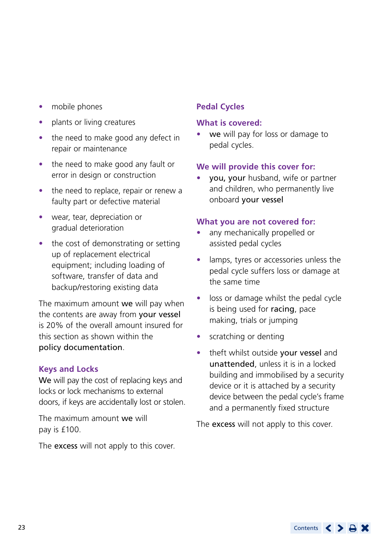- mobile phones
- plants or living creatures
- the need to make good any defect in repair or maintenance
- the need to make good any fault or error in design or construction
- the need to replace, repair or renew a faulty part or defective material
- wear, tear, depreciation or gradual deterioration
- the cost of demonstrating or setting up of replacement electrical equipment; including loading of software, transfer of data and backup/restoring existing data

The maximum amount we will pay when the contents are away from your vessel is 20% of the overall amount insured for this section as shown within the policy documentation.

## **Keys and Locks**

We will pay the cost of replacing keys and locks or lock mechanisms to external doors, if keys are accidentally lost or stolen.

The maximum amount we will pay is £100.

The **excess** will not apply to this cover.

## **Pedal Cycles**

## **What is covered:**

we will pay for loss or damage to pedal cycles.

## **We will provide this cover for:**

you, your husband, wife or partner and children, who permanently live onboard your vessel

## **What you are not covered for:**

- any mechanically propelled or assisted pedal cycles
- lamps, tyres or accessories unless the pedal cycle suffers loss or damage at the same time
- **•** loss or damage whilst the pedal cycle is being used for racing, pace making, trials or jumping
- scratching or denting
- theft whilst outside your vessel and unattended, unless it is in a locked building and immobilised by a security device or it is attached by a security device between the pedal cycle's frame and a permanently fixed structure

The **excess** will not apply to this cover.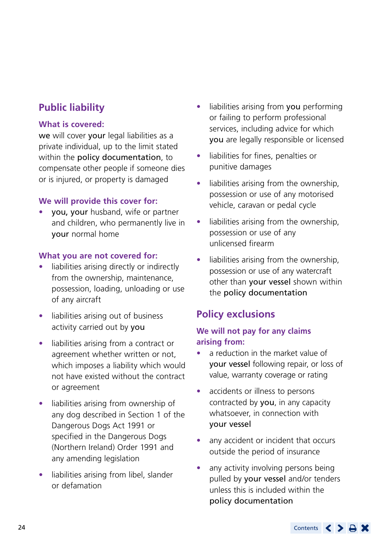## **Public liability**

## **What is covered:**

we will cover your legal liabilities as a private individual, up to the limit stated within the policy documentation, to compensate other people if someone dies or is injured, or property is damaged

## **We will provide this cover for:**

• you, your husband, wife or partner and children, who permanently live in your normal home

## **What you are not covered for:**

- liabilities arising directly or indirectly from the ownership, maintenance, possession, loading, unloading or use of any aircraft
- liabilities arising out of business activity carried out by you
- liabilities arising from a contract or agreement whether written or not, which imposes a liability which would not have existed without the contract or agreement
- liabilities arising from ownership of any dog described in Section 1 of the Dangerous Dogs Act 1991 or specified in the Dangerous Dogs (Northern Ireland) Order 1991 and any amending legislation
- liabilities arising from libel, slander or defamation
- liabilities arising from you performing or failing to perform professional services, including advice for which you are legally responsible or licensed
- liabilities for fines, penalties or punitive damages
- liabilities arising from the ownership, possession or use of any motorised vehicle, caravan or pedal cycle
- liabilities arising from the ownership, possession or use of any unlicensed firearm
- liabilities arising from the ownership, possession or use of any watercraft other than your vessel shown within the policy documentation

## **Policy exclusions**

## **We will not pay for any claims arising from:**

- a reduction in the market value of your vessel following repair, or loss of value, warranty coverage or rating
- accidents or illness to persons contracted by you, in any capacity whatsoever, in connection with your vessel
- any accident or incident that occurs outside the period of insurance
- any activity involving persons being pulled by your vessel and/or tenders unless this is included within the policy documentation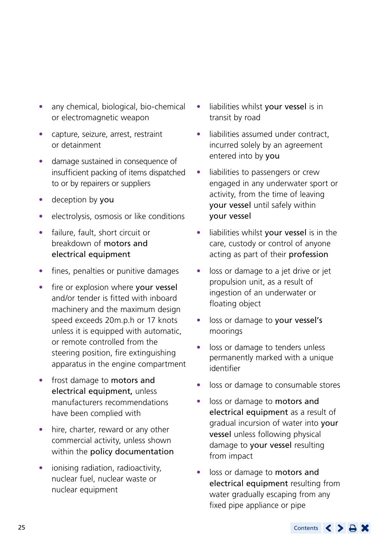- any chemical, biological, bio-chemical or electromagnetic weapon
- capture, seizure, arrest, restraint or detainment
- damage sustained in consequence of insufficient packing of items dispatched to or by repairers or suppliers
- deception by you
- electrolysis, osmosis or like conditions
- failure, fault, short circuit or breakdown of motors and electrical equipment
- fines, penalties or punitive damages
- fire or explosion where your vessel and/or tender is fitted with inboard machinery and the maximum design speed exceeds 20m.p.h or 17 knots unless it is equipped with automatic, or remote controlled from the steering position, fire extinguishing apparatus in the engine compartment
- frost damage to motors and electrical equipment, unless manufacturers recommendations have been complied with
- hire, charter, reward or any other commercial activity, unless shown within the policy documentation
- ionising radiation, radioactivity, nuclear fuel, nuclear waste or nuclear equipment
- liabilities whilst your vessel is in transit by road
- liabilities assumed under contract, incurred solely by an agreement entered into by you
- liabilities to passengers or crew engaged in any underwater sport or activity, from the time of leaving your vessel until safely within your vessel
- liabilities whilst your vessel is in the care, custody or control of anyone acting as part of their profession
- loss or damage to a jet drive or jet propulsion unit, as a result of ingestion of an underwater or floating object
- loss or damage to your vessel's moorings
- loss or damage to tenders unless permanently marked with a unique identifier
- loss or damage to consumable stores
- loss or damage to motors and electrical equipment as a result of gradual incursion of water into your vessel unless following physical damage to your vessel resulting from impact
- loss or damage to motors and electrical equipment resulting from water gradually escaping from any fixed pipe appliance or pipe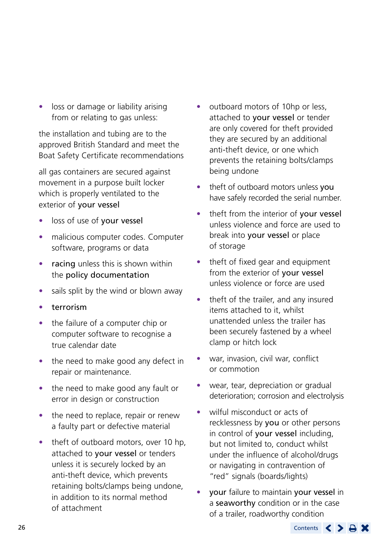loss or damage or liability arising from or relating to gas unless:

the installation and tubing are to the approved British Standard and meet the Boat Safety Certificate recommendations

all gas containers are secured against movement in a purpose built locker which is properly ventilated to the exterior of your vessel

- loss of use of your vessel
- malicious computer codes. Computer software, programs or data
- racing unless this is shown within the policy documentation
- sails split by the wind or blown away
- **terrorism**
- the failure of a computer chip or computer software to recognise a true calendar date
- the need to make good any defect in repair or maintenance.
- the need to make good any fault or error in design or construction
- the need to replace, repair or renew a faulty part or defective material
- theft of outboard motors, over 10 hp, attached to your vessel or tenders unless it is securely locked by an anti-theft device, which prevents retaining bolts/clamps being undone, in addition to its normal method of attachment
- outboard motors of 10hp or less, attached to your vessel or tender are only covered for theft provided they are secured by an additional anti-theft device, or one which prevents the retaining bolts/clamps being undone
- theft of outboard motors unless you have safely recorded the serial number.
- theft from the interior of your vessel unless violence and force are used to break into your vessel or place of storage
- theft of fixed gear and equipment from the exterior of your vessel unless violence or force are used
- theft of the trailer, and any insured items attached to it, whilst unattended unless the trailer has been securely fastened by a wheel clamp or hitch lock
- war, invasion, civil war, conflict or commotion
- wear, tear, depreciation or gradual deterioration; corrosion and electrolysis
- wilful misconduct or acts of recklessness by you or other persons in control of your vessel including, but not limited to, conduct whilst under the influence of alcohol/drugs or navigating in contravention of "red" signals (boards/lights)
- your failure to maintain your vessel in a seaworthy condition or in the case of a trailer, roadworthy condition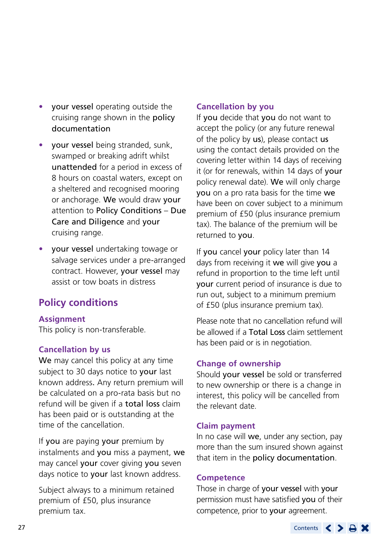- **•** your vessel operating outside the cruising range shown in the policy documentation
- your vessel being stranded, sunk, swamped or breaking adrift whilst unattended for a period in excess of 8 hours on coastal waters, except on a sheltered and recognised mooring or anchorage. We would draw your attention to Policy Conditions – Due Care and Diligence and your cruising range.
- your vessel undertaking towage or salvage services under a pre-arranged contract. However, your vessel may assist or tow boats in distress

## **Policy conditions**

## **Assignment**

This policy is non-transferable.

## **Cancellation by us**

We may cancel this policy at any time subject to 30 days notice to your last known address. Any return premium will be calculated on a pro-rata basis but no refund will be given if a total loss claim has been paid or is outstanding at the time of the cancellation.

If you are paying your premium by instalments and you miss a payment, we may cancel your cover giving you seven days notice to your last known address.

Subject always to a minimum retained premium of £50, plus insurance premium tax.

## **Cancellation by you**

If you decide that you do not want to accept the policy (or any future renewal of the policy by us), please contact us using the contact details provided on the covering letter within 14 days of receiving it (or for renewals, within 14 days of your policy renewal date). We will only charge you on a pro rata basis for the time we have been on cover subject to a minimum premium of £50 (plus insurance premium tax). The balance of the premium will be returned to you.

If you cancel your policy later than 14 days from receiving it we will give you a refund in proportion to the time left until your current period of insurance is due to run out, subject to a minimum premium of £50 (plus insurance premium tax).

Please note that no cancellation refund will be allowed if a Total Loss claim settlement has been paid or is in negotiation.

## **Change of ownership**

Should your vessel be sold or transferred to new ownership or there is a change in interest, this policy will be cancelled from the relevant date.

#### **Claim payment**

In no case will we, under any section, pay more than the sum insured shown against that item in the policy documentation.

#### **Competence**

Those in charge of your vessel with your permission must have satisfied you of their competence, prior to your agreement.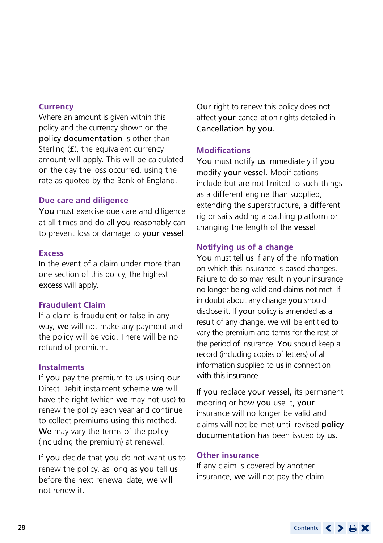#### **Currency**

Where an amount is given within this policy and the currency shown on the policy documentation is other than Sterling (£), the equivalent currency amount will apply. This will be calculated on the day the loss occurred, using the rate as quoted by the Bank of England.

## **Due care and diligence**

You must exercise due care and diligence at all times and do all you reasonably can to prevent loss or damage to your vessel.

## **Excess**

In the event of a claim under more than one section of this policy, the highest excess will apply.

## **Fraudulent Claim**

If a claim is fraudulent or false in any way, we will not make any payment and the policy will be void. There will be no refund of premium.

## **Instalments**

If you pay the premium to us using our Direct Debit instalment scheme we will have the right (which we may not use) to renew the policy each year and continue to collect premiums using this method. We may vary the terms of the policy (including the premium) at renewal.

If you decide that you do not want us to renew the policy, as long as you tell us before the next renewal date, we will not renew it.

Our right to renew this policy does not affect your cancellation rights detailed in Cancellation by you.

#### **Modifications**

You must notify us immediately if you modify your vessel. Modifications include but are not limited to such things as a different engine than supplied, extending the superstructure, a different rig or sails adding a bathing platform or changing the length of the vessel.

## **Notifying us of a change**

You must tell us if any of the information on which this insurance is based changes. Failure to do so may result in your insurance no longer being valid and claims not met. If in doubt about any change you should disclose it. If your policy is amended as a result of any change, we will be entitled to vary the premium and terms for the rest of the period of insurance. You should keep a record (including copies of letters) of all information supplied to us in connection with this insurance.

If you replace your vessel, its permanent mooring or how you use it, your insurance will no longer be valid and claims will not be met until revised policy documentation has been issued by us.

#### **Other insurance**

If any claim is covered by another insurance, we will not pay the claim.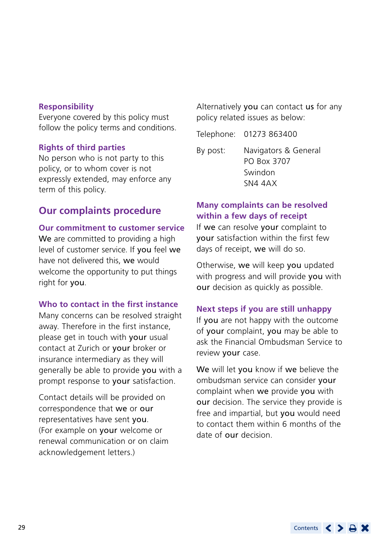#### **Responsibility**

Everyone covered by this policy must follow the policy terms and conditions.

#### **Rights of third parties**

No person who is not party to this policy, or to whom cover is not expressly extended, may enforce any term of this policy.

## **Our complaints procedure**

#### **Our commitment to customer service**

We are committed to providing a high level of customer service. If you feel we have not delivered this, we would welcome the opportunity to put things right for you.

#### **Who to contact in the first instance**

Many concerns can be resolved straight away. Therefore in the first instance, please get in touch with your usual contact at Zurich or your broker or insurance intermediary as they will generally be able to provide you with a prompt response to your satisfaction.

Contact details will be provided on correspondence that we or our representatives have sent you. (For example on your welcome or renewal communication or on claim acknowledgement letters.)

Alternatively you can contact us for any policy related issues as below:

Telephone: 01273 863400

By post: Navigators & General PO Box 3707 Swindon SN4 4AX

## **Many complaints can be resolved within a few days of receipt**

If we can resolve your complaint to your satisfaction within the first few days of receipt, we will do so.

Otherwise, we will keep you updated with progress and will provide you with our decision as quickly as possible.

#### **Next steps if you are still unhappy**

If you are not happy with the outcome of your complaint, you may be able to ask the Financial Ombudsman Service to review your case.

We will let you know if we believe the ombudsman service can consider your complaint when we provide you with our decision. The service they provide is free and impartial, but you would need to contact them within 6 months of the date of our decision.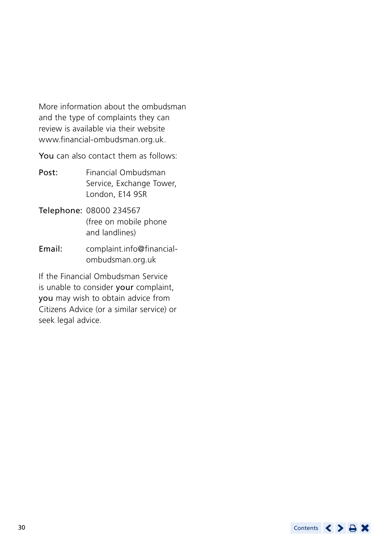More information about the ombudsman and the type of complaints they can review is available via their website [www.financial-ombudsman.org.uk.](http://www.financial-ombudsman.org.uk)

You can also contact them as follows:

- Post: Financial Ombudsman Service, Exchange Tower, London, E14 9SR
- Telephone: 08000 234567 (free on mobile phone and landlines)
- Email: [complaint.info@financial](mailto:complaint.info@financial-ombudsman.org.uk)[ombudsman.org.uk](mailto:complaint.info@financial-ombudsman.org.uk)

If the Financial Ombudsman Service is unable to consider your complaint, you may wish to obtain advice from Citizens Advice (or a similar service) or seek legal advice.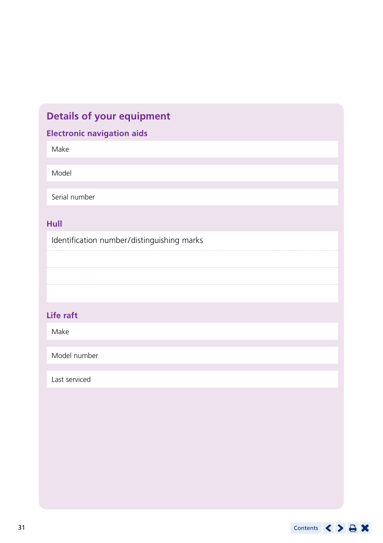## **Details of your equipment**

## **Electronic navigation aids**

Make

Model

Serial number

## **Hull**

Identification number/distinguishing marks

## **Life raft**

Make

Model number

Last serviced

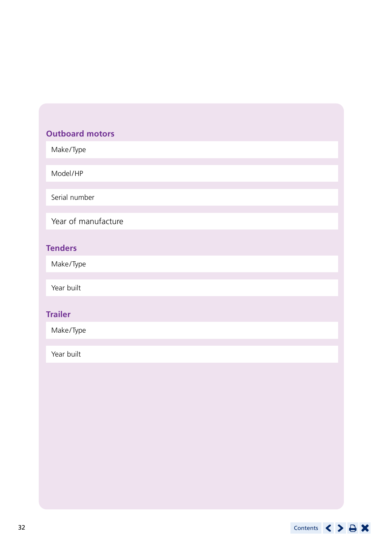## **Outboard motors**

Make/Type

Model/HP

Serial number

Year of manufacture

## **Tenders**

Make/Type

Year built

## **Trailer**

Make/Type

Year built